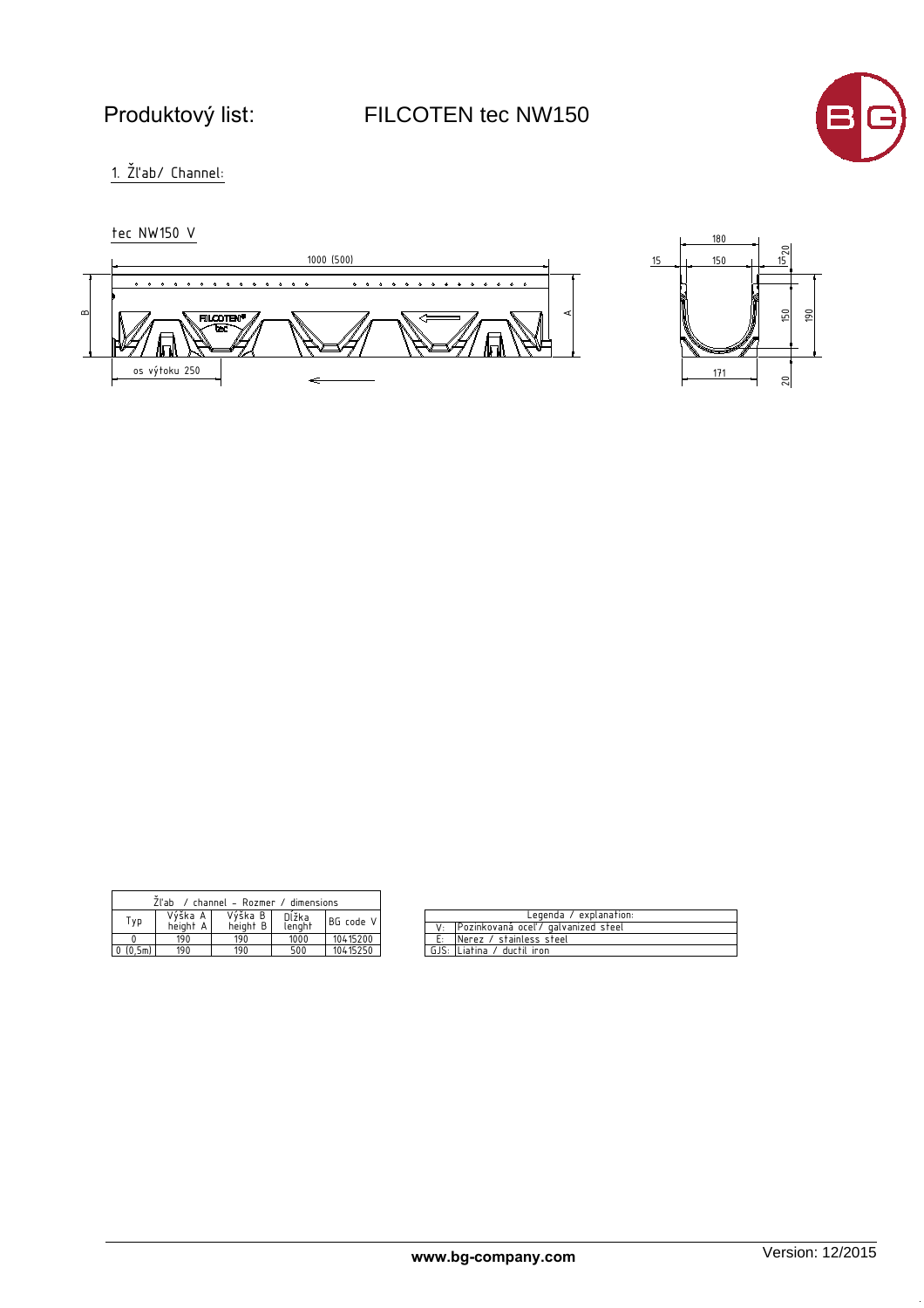FILCOTEN tec NW150



1. Žľab/ Channel:

tec NW150 V



| Zľab / channel - Rozmer / dimensions |                     |                     |                 |           |  |  |  |  |  |  |  |  |  |
|--------------------------------------|---------------------|---------------------|-----------------|-----------|--|--|--|--|--|--|--|--|--|
| Typ                                  | Výška A<br>height A | Výška B<br>height B | Dĺžka<br>lenght | BG code V |  |  |  |  |  |  |  |  |  |
|                                      | 190                 | 190                 | 1000            | 10415200  |  |  |  |  |  |  |  |  |  |
| 0(0.5m)                              | 190                 | 190                 | 500             | 10415250  |  |  |  |  |  |  |  |  |  |

| Legenda / explanation:                 |
|----------------------------------------|
| V: Pozinkovaná oceľ / galvanized steel |
| Nerez / stainless steel                |
| GJS:  Liatina / ductil iron            |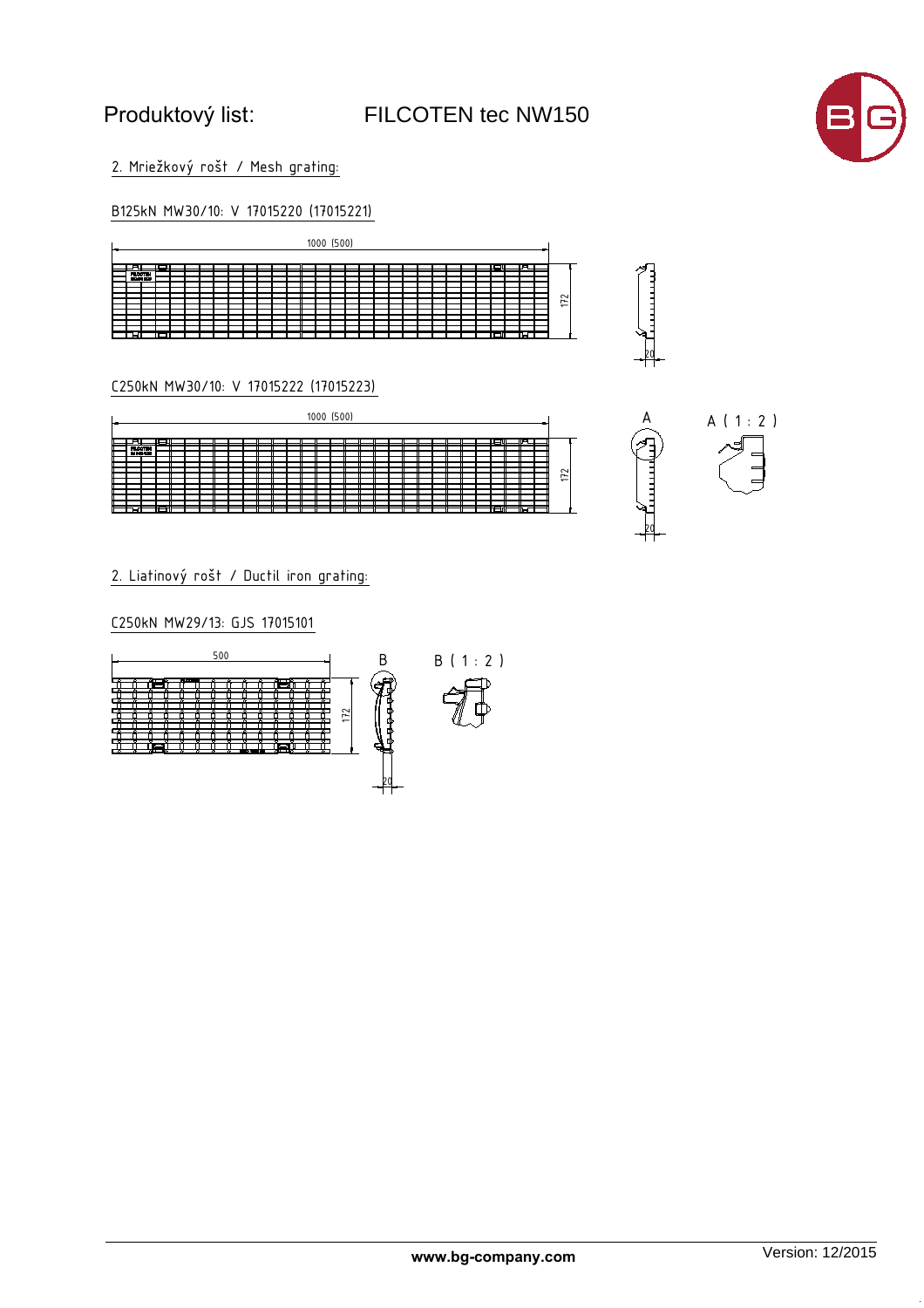

 $A(1:2)$ 

2. Mriežkový rošt / Mesh grating:

B125kN MW30/10: V 17015220 (17015221)

| 1000 (500)        |  |        |  |  |  |  |  |  |  |  |  |  |  |  |  |  |  |  |  |      |   |  |                          |
|-------------------|--|--------|--|--|--|--|--|--|--|--|--|--|--|--|--|--|--|--|--|------|---|--|--------------------------|
| æ                 |  |        |  |  |  |  |  |  |  |  |  |  |  |  |  |  |  |  |  |      |   |  |                          |
| F                 |  |        |  |  |  |  |  |  |  |  |  |  |  |  |  |  |  |  |  | ╨═╝╙ |   |  |                          |
| <b>FILCOTEN</b>   |  |        |  |  |  |  |  |  |  |  |  |  |  |  |  |  |  |  |  |      |   |  |                          |
| <b>BI 143 BLS</b> |  |        |  |  |  |  |  |  |  |  |  |  |  |  |  |  |  |  |  |      |   |  |                          |
|                   |  |        |  |  |  |  |  |  |  |  |  |  |  |  |  |  |  |  |  |      |   |  |                          |
|                   |  |        |  |  |  |  |  |  |  |  |  |  |  |  |  |  |  |  |  |      |   |  |                          |
|                   |  |        |  |  |  |  |  |  |  |  |  |  |  |  |  |  |  |  |  |      |   |  |                          |
|                   |  |        |  |  |  |  |  |  |  |  |  |  |  |  |  |  |  |  |  |      |   |  | 72                       |
|                   |  |        |  |  |  |  |  |  |  |  |  |  |  |  |  |  |  |  |  |      |   |  | $\overline{\phantom{m}}$ |
|                   |  |        |  |  |  |  |  |  |  |  |  |  |  |  |  |  |  |  |  |      |   |  |                          |
|                   |  |        |  |  |  |  |  |  |  |  |  |  |  |  |  |  |  |  |  |      |   |  |                          |
|                   |  |        |  |  |  |  |  |  |  |  |  |  |  |  |  |  |  |  |  |      |   |  |                          |
|                   |  |        |  |  |  |  |  |  |  |  |  |  |  |  |  |  |  |  |  |      |   |  |                          |
| ᆸ                 |  | तिल्ला |  |  |  |  |  |  |  |  |  |  |  |  |  |  |  |  |  | ħ⊟d  | ਯ |  |                          |

C250kN MW30/10: V 17015222 (17015223)

|   | 1000 (500)    |          |     |  |  |  |  |  |  |  |  |  |  |  |  |  |  |  |  |  |    |     |  |     |
|---|---------------|----------|-----|--|--|--|--|--|--|--|--|--|--|--|--|--|--|--|--|--|----|-----|--|-----|
|   |               |          |     |  |  |  |  |  |  |  |  |  |  |  |  |  |  |  |  |  |    |     |  |     |
|   |               |          | ┻   |  |  |  |  |  |  |  |  |  |  |  |  |  |  |  |  |  | ₩₩ | ℡   |  |     |
|   |               | FILOGTEN |     |  |  |  |  |  |  |  |  |  |  |  |  |  |  |  |  |  |    |     |  |     |
| п |               |          |     |  |  |  |  |  |  |  |  |  |  |  |  |  |  |  |  |  |    |     |  |     |
|   |               |          |     |  |  |  |  |  |  |  |  |  |  |  |  |  |  |  |  |  |    |     |  |     |
|   |               |          |     |  |  |  |  |  |  |  |  |  |  |  |  |  |  |  |  |  |    |     |  |     |
|   |               |          |     |  |  |  |  |  |  |  |  |  |  |  |  |  |  |  |  |  |    |     |  |     |
|   |               |          |     |  |  |  |  |  |  |  |  |  |  |  |  |  |  |  |  |  |    |     |  | 172 |
|   |               |          |     |  |  |  |  |  |  |  |  |  |  |  |  |  |  |  |  |  |    |     |  |     |
|   |               |          |     |  |  |  |  |  |  |  |  |  |  |  |  |  |  |  |  |  |    |     |  |     |
|   |               |          |     |  |  |  |  |  |  |  |  |  |  |  |  |  |  |  |  |  |    |     |  |     |
|   |               |          | ਵਾਸ |  |  |  |  |  |  |  |  |  |  |  |  |  |  |  |  |  |    |     |  |     |
|   | <b>Indeed</b> |          |     |  |  |  |  |  |  |  |  |  |  |  |  |  |  |  |  |  | ₩  | ਯਿਸ |  |     |

2. Liatinový rošt / Ductil iron grating:

C250kN MW29/13: GJS 17015101

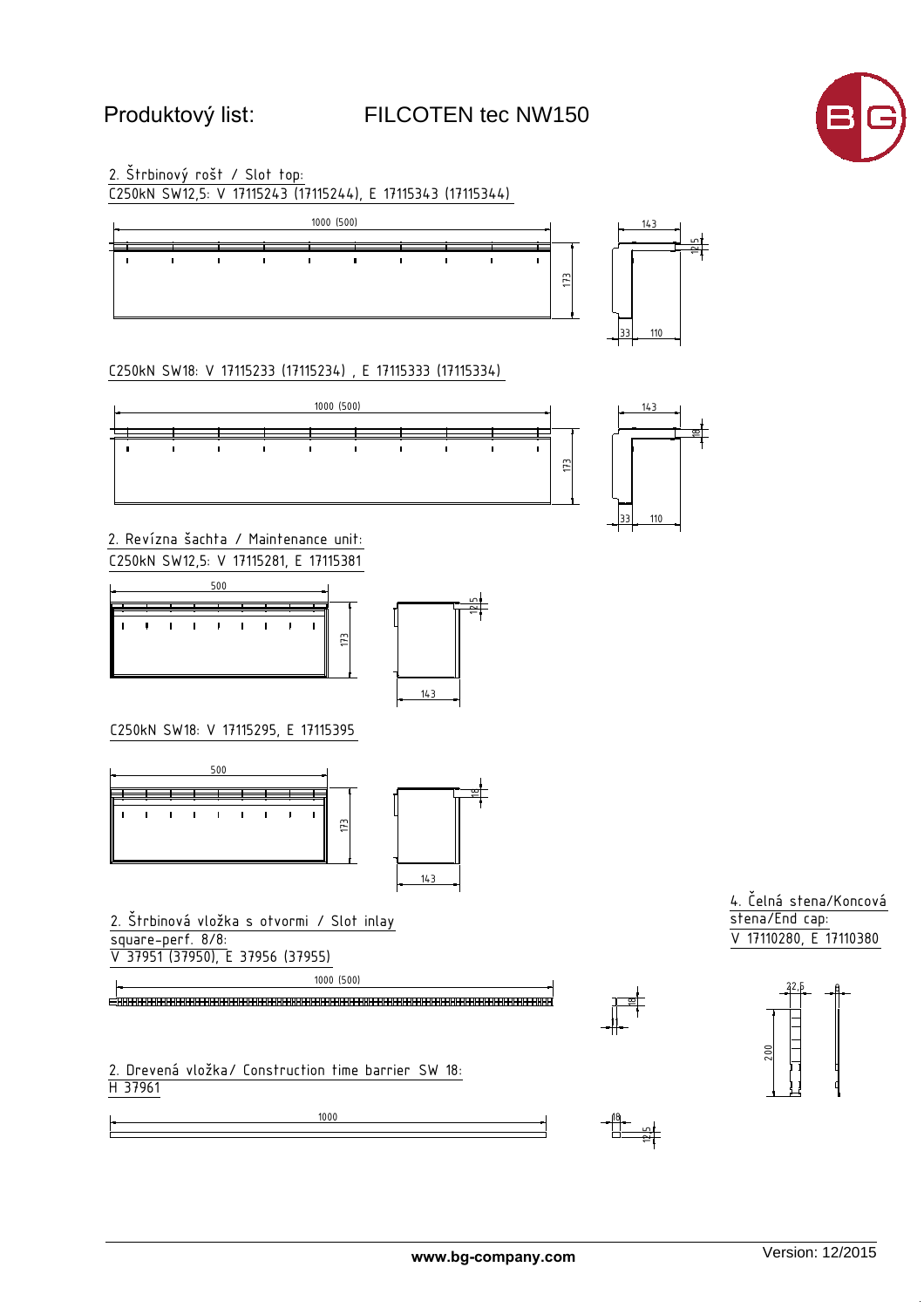### **FILCOTEN tec NW150**



2. Štrbinový rošt / Slot top: C250kN SW12,5: V 17115243 (17115244), E 17115343 (17115344)



### C250kN SW18: V 17115233 (17115234), E 17115333 (17115334)



2. Revízna šachta / Maintenance unit: C250kN SW12,5: V 17115281, E 17115381





#### C250kN SW18: V 17115295, E 17115395



2. Štrbinová vložka s otvormi / Slot inlay square-perf. 8/8: V 37951 (37950), E 37956 (37955)

1000 (500)

2. Drevená vložka/ Construction time barrier SW 18:<br>H 37961